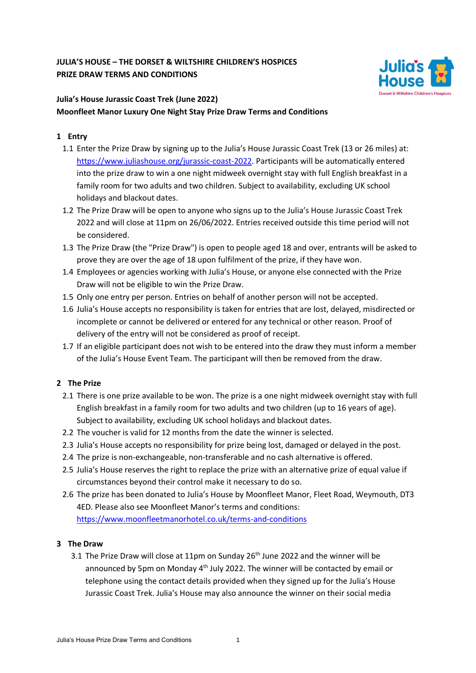## **JULIA'S HOUSE – THE DORSET & WILTSHIRE CHILDREN'S HOSPICES PRIZE DRAW TERMS AND CONDITIONS**



# **Julia's House Jurassic Coast Trek (June 2022) Moonfleet Manor Luxury One Night Stay Prize Draw Terms and Conditions**

### **1 Entry**

- 1.1 Enter the Prize Draw by signing up to the Julia's House Jurassic Coast Trek (13 or 26 miles) at: [https://www.juliashouse.org/jurassic-coast-2022.](https://www.juliashouse.org/jurassic-coast-2022) Participants will be automatically entered into the prize draw to win a one night midweek overnight stay with full English breakfast in a family room for two adults and two children. Subject to availability, excluding UK school holidays and blackout dates.
- 1.2 The Prize Draw will be open to anyone who signs up to the Julia's House Jurassic Coast Trek 2022 and will close at 11pm on 26/06/2022. Entries received outside this time period will not be considered.
- 1.3 The Prize Draw (the "Prize Draw") is open to people aged 18 and over, entrants will be asked to prove they are over the age of 18 upon fulfilment of the prize, if they have won.
- 1.4 Employees or agencies working with Julia's House, or anyone else connected with the Prize Draw will not be eligible to win the Prize Draw.
- 1.5 Only one entry per person. Entries on behalf of another person will not be accepted.
- 1.6 Julia's House accepts no responsibility is taken for entries that are lost, delayed, misdirected or incomplete or cannot be delivered or entered for any technical or other reason. Proof of delivery of the entry will not be considered as proof of receipt.
- 1.7 If an eligible participant does not wish to be entered into the draw they must inform a member of the Julia's House Event Team. The participant will then be removed from the draw.

## **2 The Prize**

- 2.1 There is one prize available to be won. The prize is a one night midweek overnight stay with full English breakfast in a family room for two adults and two children (up to 16 years of age). Subject to availability, excluding UK school holidays and blackout dates.
- 2.2 The voucher is valid for 12 months from the date the winner is selected.
- 2.3 Julia's House accepts no responsibility for prize being lost, damaged or delayed in the post.
- 2.4 The prize is non-exchangeable, non-transferable and no cash alternative is offered.
- 2.5 Julia's House reserves the right to replace the prize with an alternative prize of equal value if circumstances beyond their control make it necessary to do so.
- 2.6 The prize has been donated to Julia's House by Moonfleet Manor, Fleet Road, Weymouth, DT3 4ED. Please also see Moonfleet Manor's terms and conditions: <https://www.moonfleetmanorhotel.co.uk/terms-and-conditions>

#### **3 The Draw**

3.1 The Prize Draw will close at 11pm on Sunday  $26<sup>th</sup>$  June 2022 and the winner will be announced by 5pm on Monday  $4<sup>th</sup>$  July 2022. The winner will be contacted by email or telephone using the contact details provided when they signed up for the Julia's House Jurassic Coast Trek. Julia's House may also announce the winner on their social media